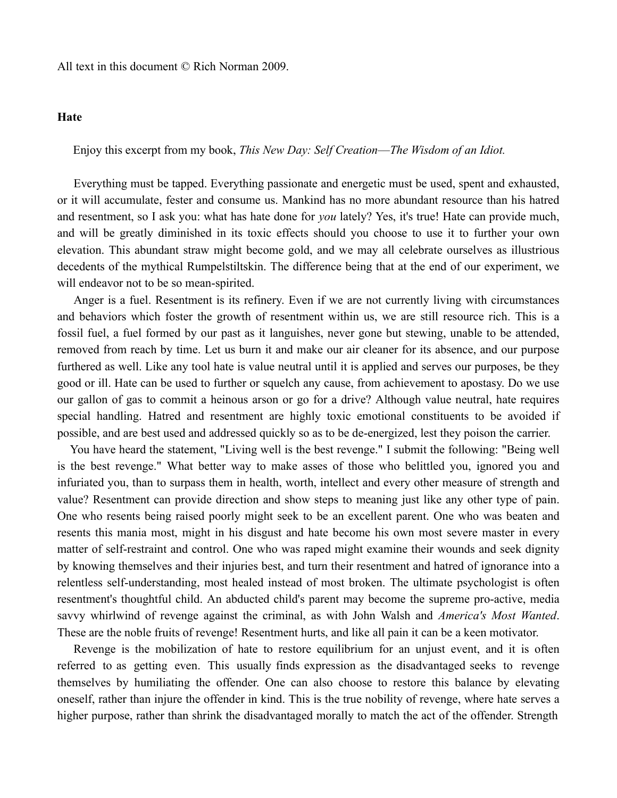All text in this document © Rich Norman 2009.

## **Hate**

Enjoy this excerpt from my book, *This New Day: Self Creation––The Wisdom of an Idiot.*

Everything must be tapped. Everything passionate and energetic must be used, spent and exhausted, or it will accumulate, fester and consume us. Mankind has no more abundant resource than his hatred and resentment, so I ask you: what has hate done for *you* lately? Yes, it's true! Hate can provide much, and will be greatly diminished in its toxic effects should you choose to use it to further your own elevation. This abundant straw might become gold, and we may all celebrate ourselves as illustrious decedents of the mythical Rumpelstiltskin. The difference being that at the end of our experiment, we will endeavor not to be so mean-spirited.

Anger is a fuel. Resentment is its refinery. Even if we are not currently living with circumstances and behaviors which foster the growth of resentment within us, we are still resource rich. This is a fossil fuel, a fuel formed by our past as it languishes, never gone but stewing, unable to be attended, removed from reach by time. Let us burn it and make our air cleaner for its absence, and our purpose furthered as well. Like any tool hate is value neutral until it is applied and serves our purposes, be they good or ill. Hate can be used to further or squelch any cause, from achievement to apostasy. Do we use our gallon of gas to commit a heinous arson or go for a drive? Although value neutral, hate requires special handling. Hatred and resentment are highly toxic emotional constituents to be avoided if possible, and are best used and addressed quickly so as to be de-energized, lest they poison the carrier.

You have heard the statement, "Living well is the best revenge." I submit the following: "Being well is the best revenge." What better way to make asses of those who belittled you, ignored you and infuriated you, than to surpass them in health, worth, intellect and every other measure of strength and value? Resentment can provide direction and show steps to meaning just like any other type of pain. One who resents being raised poorly might seek to be an excellent parent. One who was beaten and resents this mania most, might in his disgust and hate become his own most severe master in every matter of self-restraint and control. One who was raped might examine their wounds and seek dignity by knowing themselves and their injuries best, and turn their resentment and hatred of ignorance into a relentless self-understanding, most healed instead of most broken. The ultimate psychologist is often resentment's thoughtful child. An abducted child's parent may become the supreme pro-active, media savvy whirlwind of revenge against the criminal, as with John Walsh and *America's Most Wanted*. These are the noble fruits of revenge! Resentment hurts, and like all pain it can be a keen motivator.

Revenge is the mobilization of hate to restore equilibrium for an unjust event, and it is often referred to as getting even. This usually finds expression as the disadvantaged seeks to revenge themselves by humiliating the offender. One can also choose to restore this balance by elevating oneself, rather than injure the offender in kind. This is the true nobility of revenge, where hate serves a higher purpose, rather than shrink the disadvantaged morally to match the act of the offender. Strength